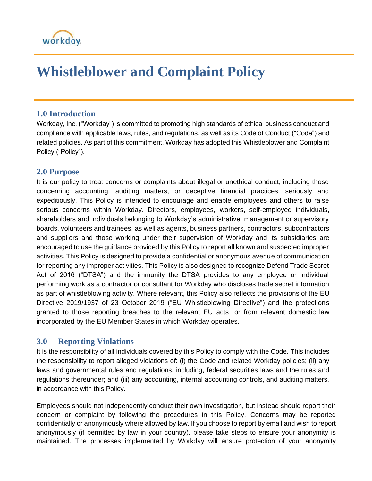# workday.

# **Whistleblower and Complaint Policy**

#### **1.0 Introduction**

Workday, Inc. ("Workday") is committed to promoting high standards of ethical business conduct and compliance with applicable laws, rules, and regulations, as well as its Code of Conduct ("Code") and related policies. As part of this commitment, Workday has adopted this Whistleblower and Complaint Policy ("Policy").

### **2.0 Purpose**

It is our policy to treat concerns or complaints about illegal or unethical conduct, including those concerning accounting, auditing matters, or deceptive financial practices, seriously and expeditiously. This Policy is intended to encourage and enable employees and others to raise serious concerns within Workday. Directors, employees, workers, self-employed individuals, shareholders and individuals belonging to Workday's administrative, management or supervisory boards, volunteers and trainees, as well as agents, business partners, contractors, subcontractors and suppliers and those working under their supervision of Workday and its subsidiaries are encouraged to use the guidance provided by this Policy to report all known and suspected improper activities. This Policy is designed to provide a confidential or anonymous avenue of communication for reporting any improper activities. This Policy is also designed to recognize Defend Trade Secret Act of 2016 ("DTSA") and the immunity the DTSA provides to any employee or individual performing work as a contractor or consultant for Workday who discloses trade secret information as part of whistleblowing activity. Where relevant, this Policy also reflects the provisions of the EU Directive 2019/1937 of 23 October 2019 ("EU Whistleblowing Directive") and the protections granted to those reporting breaches to the relevant EU acts, or from relevant domestic law incorporated by the EU Member States in which Workday operates.

## **3.0 Reporting Violations**

It is the responsibility of all individuals covered by this Policy to comply with the Code. This includes the responsibility to report alleged violations of: (i) the Code and related Workday policies; (ii) any laws and governmental rules and regulations, including, federal securities laws and the rules and regulations thereunder; and (iii) any accounting, internal accounting controls, and auditing matters, in accordance with this Policy.

Employees should not independently conduct their own investigation, but instead should report their concern or complaint by following the procedures in this Policy. Concerns may be reported confidentially or anonymously where allowed by law. If you choose to report by email and wish to report anonymously (if permitted by law in your country), please take steps to ensure your anonymity is maintained. The processes implemented by Workday will ensure protection of your anonymity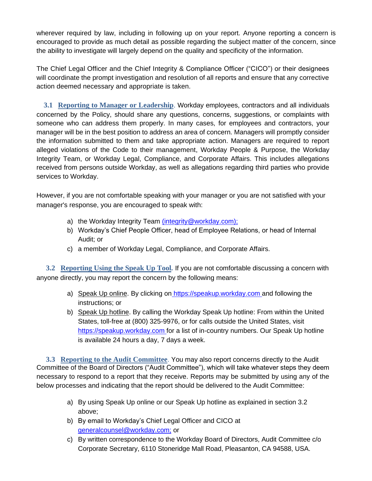wherever required by law, including in following up on your report. Anyone reporting a concern is encouraged to provide as much detail as possible regarding the subject matter of the concern, since the ability to investigate will largely depend on the quality and specificity of the information.

The Chief Legal Officer and the Chief Integrity & Compliance Officer ("CICO") or their designees will coordinate the prompt investigation and resolution of all reports and ensure that any corrective action deemed necessary and appropriate is taken.

 **3.1 Reporting to Manager or Leadership**. Workday employees, contractors and all individuals concerned by the Policy, should share any questions, concerns, suggestions, or complaints with someone who can address them properly. In many cases, for employees and contractors, your manager will be in the best position to address an area of concern. Managers will promptly consider the information submitted to them and take appropriate action. Managers are required to report alleged violations of the Code to their management, Workday People & Purpose, the Workday Integrity Team, or Workday Legal, Compliance, and Corporate Affairs. This includes allegations received from persons outside Workday, as well as allegations regarding third parties who provide services to Workday.

However, if you are not comfortable speaking with your manager or you are not satisfied with your manager's response, you are encouraged to speak with:

- a) the Workday Integrity Team [\(i](mailto:integrity@workday.com))[ntegrity@workday.com\)](mailto:integrity@workday.com)[;](mailto:integrity@workday.com))
- b) Workday's Chief People Officer, head of Employee Relations, or head of Internal Audit; or
- c) a member of Workday Legal, Compliance, and Corporate Affairs.

**3.2 Reporting Using the Speak Up Tool***.* If you are not comfortable discussing a concern with anyone directly, you may report the concern by the following means:

- a) Speak Up online. By clicking o[n](https://speakup.workday.com/) [https://speakup.workday.com](https://secure.ethicspoint.com/domain/media/en/gui/60581/index.html) and following the instructions; or
- b) Speak Up hotline. By calling the Workday Speak Up hotline: From within the United States, toll-free at (800) 325-9976, or for calls outside the United States, visi[t](https://speakup.workday.com/) [https://speakup.workday.com](https://secure.ethicspoint.com/domain/media/en/gui/60581/index.html) for a list of in-country numbers. Our Speak Up hotline is available 24 hours a day, 7 days a week.

**3.3 Reporting to the Audit Committee**. You may also report concerns directly to the Audit Committee of the Board of Directors ("Audit Committee"), which will take whatever steps they deem necessary to respond to a report that they receive. Reports may be submitted by using any of the below processes and indicating that the report should be delivered to the Audit Committee:

- a) By using Speak Up online or our Speak Up hotline as explained in section 3.2 above;
- b) By email to Workday's Chief Legal Officer and CICO at [generalcounsel@workday.com;](mailto:generalcounsel@workday.com) or
- c) By written correspondence to the Workday Board of Directors, Audit Committee c/o Corporate Secretary, 6110 Stoneridge Mall Road, Pleasanton, CA 94588, USA.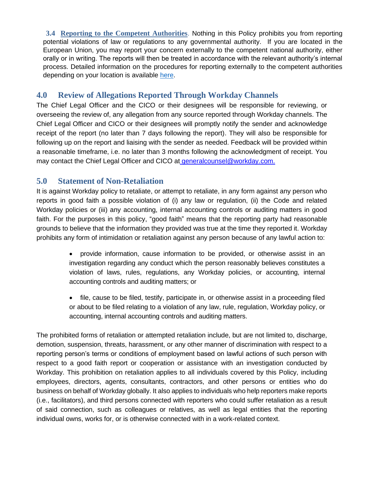**3.4 Reporting to the Competent Authorities**. Nothing in this Policy prohibits you from reporting potential violations of law or regulations to any governmental authority. If you are located in the European Union, you may report your concern externally to the competent national authority, either orally or in writing. The reports will then be treated in accordance with the relevant authority's internal process. Detailed information on the procedures for reporting externally to the competent authorities depending on your location is available [here.](https://docs.google.com/spreadsheets/d/17UXde97AqdtDRqgHbK_oL6Bwz_SSvIMfnRUqzk4ygiU/edit?usp=sharing)

### **4.0 Review of Allegations Reported Through Workday Channels**

The Chief Legal Officer and the CICO or their designees will be responsible for reviewing, or overseeing the review of, any allegation from any source reported through Workday channels. The Chief Legal Officer and CICO or their designees will promptly notify the sender and acknowledge receipt of the report (no later than 7 days following the report). They will also be responsible for following up on the report and liaising with the sender as needed. Feedback will be provided within a reasonable timeframe, i.e. no later than 3 months following the acknowledgment of receipt. You may contact the Chief Legal Officer and CICO a[t](file:///G:/Shared%20drives/Corporate%20Legal/Corporate/1.%20Workday,%20Inc/Corporate%20Charters%20&%20Policies/Whistleblower%20Policy/generalcounsel@workday.com) [generalcounsel@workday.com](mailto:generalcounsel@workday.com)[.](file:///G:/Shared%20drives/Corporate%20Legal/Corporate/1.%20Workday,%20Inc/Corporate%20Charters%20&%20Policies/Whistleblower%20Policy/generalcounsel@workday.com)

### **5.0 Statement of Non-Retaliation**

It is against Workday policy to retaliate, or attempt to retaliate, in any form against any person who reports in good faith a possible violation of (i) any law or regulation, (ii) the Code and related Workday policies or (iii) any accounting, internal accounting controls or auditing matters in good faith. For the purposes in this policy, "good faith" means that the reporting party had reasonable grounds to believe that the information they provided was true at the time they reported it. Workday prohibits any form of intimidation or retaliation against any person because of any lawful action to:

- provide information, cause information to be provided, or otherwise assist in an investigation regarding any conduct which the person reasonably believes constitutes a violation of laws, rules, regulations, any Workday policies, or accounting, internal accounting controls and auditing matters; or
- file, cause to be filed, testify, participate in, or otherwise assist in a proceeding filed or about to be filed relating to a violation of any law, rule, regulation, Workday policy, or accounting, internal accounting controls and auditing matters.

The prohibited forms of retaliation or attempted retaliation include, but are not limited to, discharge, demotion, suspension, threats, harassment, or any other manner of discrimination with respect to a reporting person's terms or conditions of employment based on lawful actions of such person with respect to a good faith report or cooperation or assistance with an investigation conducted by Workday. This prohibition on retaliation applies to all individuals covered by this Policy, including employees, directors, agents, consultants, contractors, and other persons or entities who do business on behalf of Workday globally. It also applies to individuals who help reporters make reports (i.e., facilitators), and third persons connected with reporters who could suffer retaliation as a result of said connection, such as colleagues or relatives, as well as legal entities that the reporting individual owns, works for, or is otherwise connected with in a work-related context.